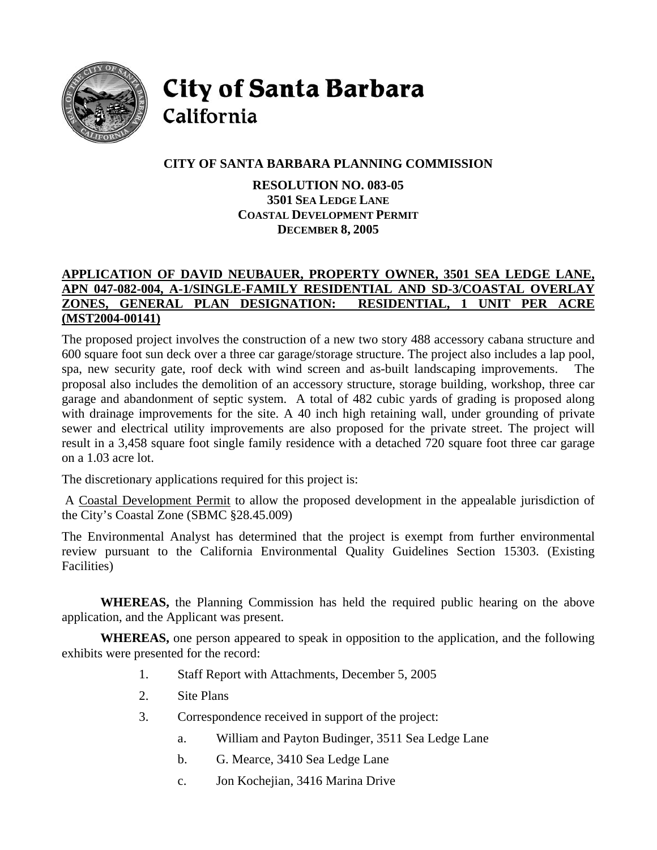

**City of Santa Barbara** California

# **CITY OF SANTA BARBARA PLANNING COMMISSION**

**RESOLUTION NO. 083-05 3501 SEA LEDGE LANE COASTAL DEVELOPMENT PERMIT DECEMBER 8, 2005** 

## **APPLICATION OF DAVID NEUBAUER, PROPERTY OWNER, 3501 SEA LEDGE LANE, APN 047-082-004, A-1/SINGLE-FAMILY RESIDENTIAL AND SD-3/COASTAL OVERLAY ZONES, GENERAL PLAN DESIGNATION: RESIDENTIAL, 1 UNIT PER ACRE (MST2004-00141)**

The proposed project involves the construction of a new two story 488 accessory cabana structure and 600 square foot sun deck over a three car garage/storage structure. The project also includes a lap pool, spa, new security gate, roof deck with wind screen and as-built landscaping improvements. The proposal also includes the demolition of an accessory structure, storage building, workshop, three car garage and abandonment of septic system. A total of 482 cubic yards of grading is proposed along with drainage improvements for the site. A 40 inch high retaining wall, under grounding of private sewer and electrical utility improvements are also proposed for the private street. The project will result in a 3,458 square foot single family residence with a detached 720 square foot three car garage on a 1.03 acre lot.

The discretionary applications required for this project is:

 A Coastal Development Permit to allow the proposed development in the appealable jurisdiction of the City's Coastal Zone (SBMC §28.45.009)

The Environmental Analyst has determined that the project is exempt from further environmental review pursuant to the California Environmental Quality Guidelines Section 15303. (Existing Facilities)

**WHEREAS,** the Planning Commission has held the required public hearing on the above application, and the Applicant was present.

**WHEREAS,** one person appeared to speak in opposition to the application, and the following exhibits were presented for the record:

- 1. Staff Report with Attachments, December 5, 2005
- 2. Site Plans
- 3. Correspondence received in support of the project:
	- a. William and Payton Budinger, 3511 Sea Ledge Lane
	- b. G. Mearce, 3410 Sea Ledge Lane
	- c. Jon Kochejian, 3416 Marina Drive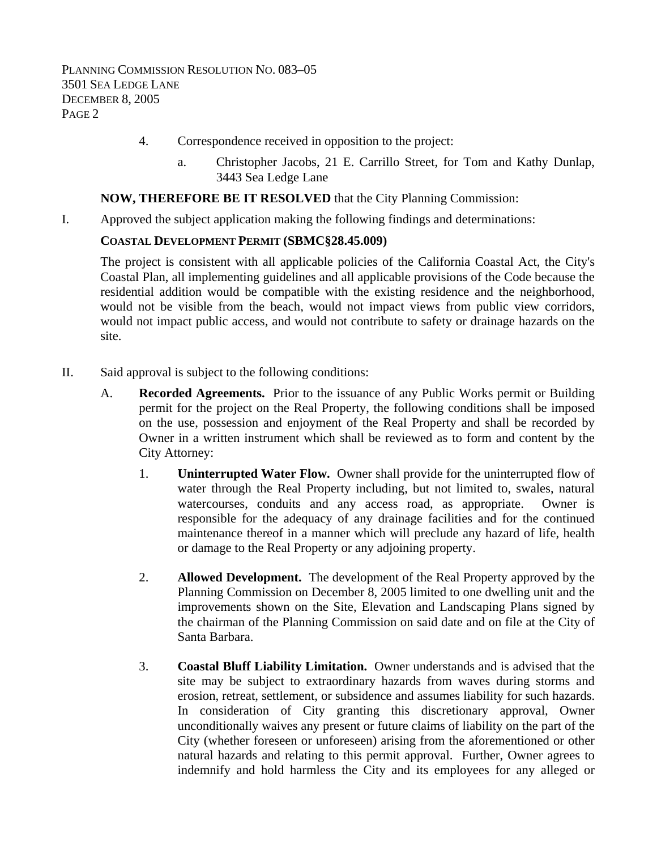- 4. Correspondence received in opposition to the project:
	- a. Christopher Jacobs, 21 E. Carrillo Street, for Tom and Kathy Dunlap, 3443 Sea Ledge Lane

### **NOW, THEREFORE BE IT RESOLVED** that the City Planning Commission:

I. Approved the subject application making the following findings and determinations:

#### **COASTAL DEVELOPMENT PERMIT (SBMC§28.45.009)**

The project is consistent with all applicable policies of the California Coastal Act, the City's Coastal Plan, all implementing guidelines and all applicable provisions of the Code because the residential addition would be compatible with the existing residence and the neighborhood, would not be visible from the beach, would not impact views from public view corridors, would not impact public access, and would not contribute to safety or drainage hazards on the site.

- II. Said approval is subject to the following conditions:
	- A. **Recorded Agreements.** Prior to the issuance of any Public Works permit or Building permit for the project on the Real Property, the following conditions shall be imposed on the use, possession and enjoyment of the Real Property and shall be recorded by Owner in a written instrument which shall be reviewed as to form and content by the City Attorney:
		- 1. **Uninterrupted Water Flow.** Owner shall provide for the uninterrupted flow of water through the Real Property including, but not limited to, swales, natural watercourses, conduits and any access road, as appropriate. Owner is responsible for the adequacy of any drainage facilities and for the continued maintenance thereof in a manner which will preclude any hazard of life, health or damage to the Real Property or any adjoining property.
		- 2. **Allowed Development.** The development of the Real Property approved by the Planning Commission on December 8, 2005 limited to one dwelling unit and the improvements shown on the Site, Elevation and Landscaping Plans signed by the chairman of the Planning Commission on said date and on file at the City of Santa Barbara.
		- 3. **Coastal Bluff Liability Limitation.** Owner understands and is advised that the site may be subject to extraordinary hazards from waves during storms and erosion, retreat, settlement, or subsidence and assumes liability for such hazards. In consideration of City granting this discretionary approval, Owner unconditionally waives any present or future claims of liability on the part of the City (whether foreseen or unforeseen) arising from the aforementioned or other natural hazards and relating to this permit approval. Further, Owner agrees to indemnify and hold harmless the City and its employees for any alleged or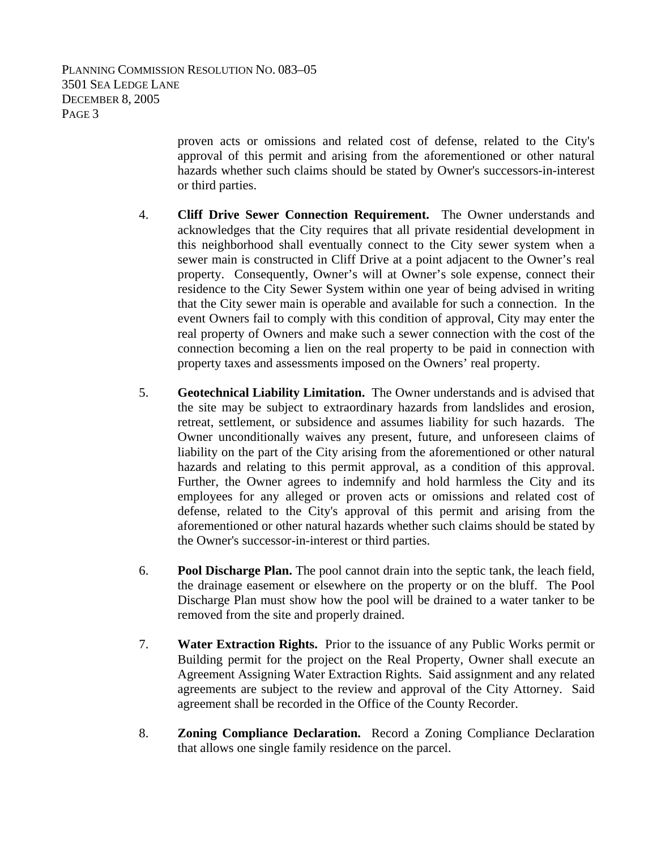> proven acts or omissions and related cost of defense, related to the City's approval of this permit and arising from the aforementioned or other natural hazards whether such claims should be stated by Owner's successors-in-interest or third parties.

- 4. **Cliff Drive Sewer Connection Requirement.** The Owner understands and acknowledges that the City requires that all private residential development in this neighborhood shall eventually connect to the City sewer system when a sewer main is constructed in Cliff Drive at a point adjacent to the Owner's real property. Consequently, Owner's will at Owner's sole expense, connect their residence to the City Sewer System within one year of being advised in writing that the City sewer main is operable and available for such a connection. In the event Owners fail to comply with this condition of approval, City may enter the real property of Owners and make such a sewer connection with the cost of the connection becoming a lien on the real property to be paid in connection with property taxes and assessments imposed on the Owners' real property.
- 5. **Geotechnical Liability Limitation.** The Owner understands and is advised that the site may be subject to extraordinary hazards from landslides and erosion, retreat, settlement, or subsidence and assumes liability for such hazards. The Owner unconditionally waives any present, future, and unforeseen claims of liability on the part of the City arising from the aforementioned or other natural hazards and relating to this permit approval, as a condition of this approval. Further, the Owner agrees to indemnify and hold harmless the City and its employees for any alleged or proven acts or omissions and related cost of defense, related to the City's approval of this permit and arising from the aforementioned or other natural hazards whether such claims should be stated by the Owner's successor-in-interest or third parties.
- 6. **Pool Discharge Plan.** The pool cannot drain into the septic tank, the leach field, the drainage easement or elsewhere on the property or on the bluff. The Pool Discharge Plan must show how the pool will be drained to a water tanker to be removed from the site and properly drained.
- 7. **Water Extraction Rights.** Prior to the issuance of any Public Works permit or Building permit for the project on the Real Property, Owner shall execute an Agreement Assigning Water Extraction Rights. Said assignment and any related agreements are subject to the review and approval of the City Attorney. Said agreement shall be recorded in the Office of the County Recorder.
- 8. **Zoning Compliance Declaration.** Record a Zoning Compliance Declaration that allows one single family residence on the parcel.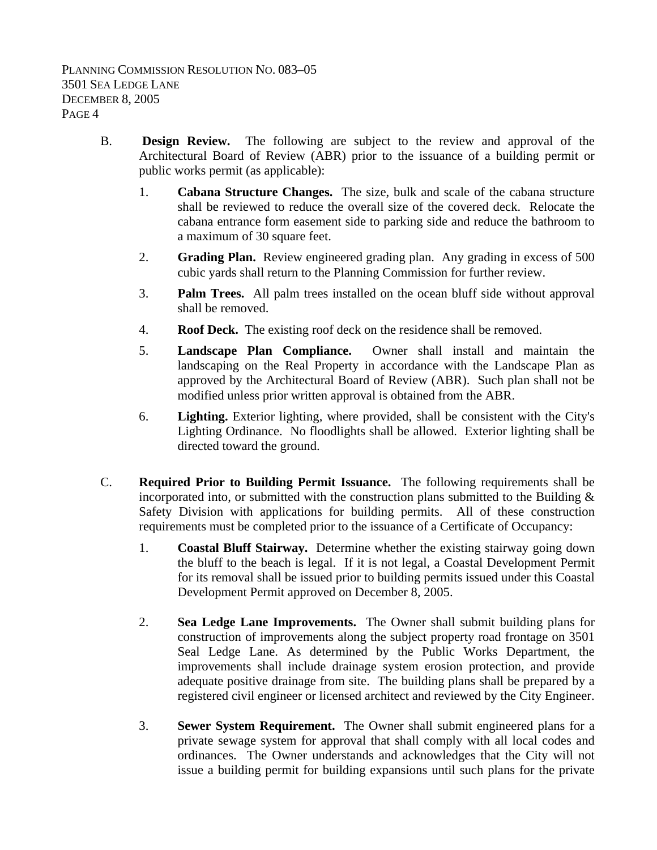- B. **Design Review.** The following are subject to the review and approval of the Architectural Board of Review (ABR) prior to the issuance of a building permit or public works permit (as applicable):
	- 1. **Cabana Structure Changes.** The size, bulk and scale of the cabana structure shall be reviewed to reduce the overall size of the covered deck. Relocate the cabana entrance form easement side to parking side and reduce the bathroom to a maximum of 30 square feet.
	- 2. **Grading Plan.** Review engineered grading plan. Any grading in excess of 500 cubic yards shall return to the Planning Commission for further review.
	- 3. **Palm Trees.** All palm trees installed on the ocean bluff side without approval shall be removed.
	- 4. **Roof Deck.** The existing roof deck on the residence shall be removed.
	- 5. **Landscape Plan Compliance.** Owner shall install and maintain the landscaping on the Real Property in accordance with the Landscape Plan as approved by the Architectural Board of Review (ABR). Such plan shall not be modified unless prior written approval is obtained from the ABR.
	- 6. **Lighting.** Exterior lighting, where provided, shall be consistent with the City's Lighting Ordinance. No floodlights shall be allowed. Exterior lighting shall be directed toward the ground.
- C. **Required Prior to Building Permit Issuance.** The following requirements shall be incorporated into, or submitted with the construction plans submitted to the Building  $\&$ Safety Division with applications for building permits. All of these construction requirements must be completed prior to the issuance of a Certificate of Occupancy:
	- 1. **Coastal Bluff Stairway.** Determine whether the existing stairway going down the bluff to the beach is legal. If it is not legal, a Coastal Development Permit for its removal shall be issued prior to building permits issued under this Coastal Development Permit approved on December 8, 2005.
	- 2. **Sea Ledge Lane Improvements.** The Owner shall submit building plans for construction of improvements along the subject property road frontage on 3501 Seal Ledge Lane. As determined by the Public Works Department, the improvements shall include drainage system erosion protection, and provide adequate positive drainage from site. The building plans shall be prepared by a registered civil engineer or licensed architect and reviewed by the City Engineer.
	- 3. **Sewer System Requirement.** The Owner shall submit engineered plans for a private sewage system for approval that shall comply with all local codes and ordinances. The Owner understands and acknowledges that the City will not issue a building permit for building expansions until such plans for the private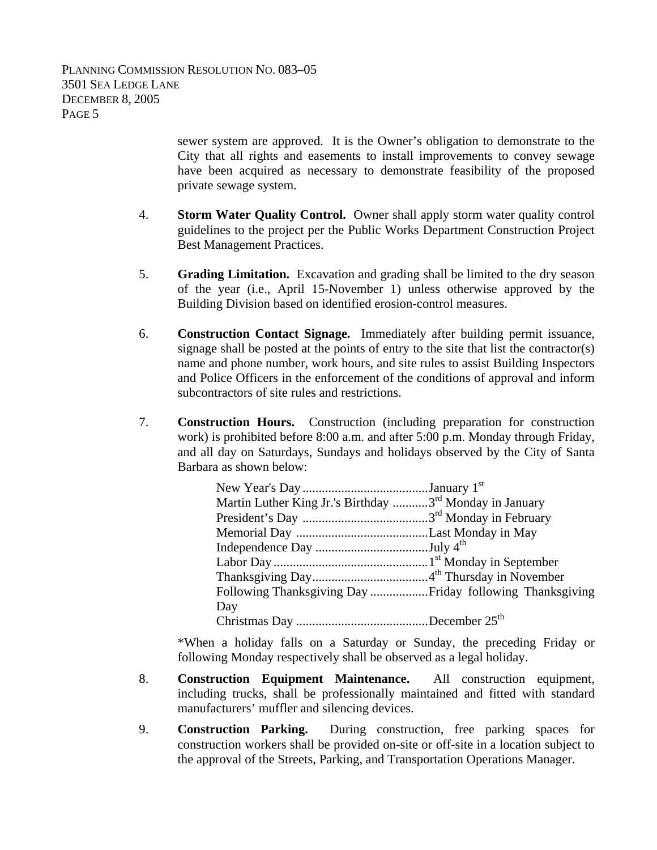sewer system are approved. It is the Owner's obligation to demonstrate to the City that all rights and easements to install improvements to convey sewage have been acquired as necessary to demonstrate feasibility of the proposed private sewage system.

- 4. **Storm Water Quality Control.** Owner shall apply storm water quality control guidelines to the project per the Public Works Department Construction Project Best Management Practices.
- 5. **Grading Limitation.** Excavation and grading shall be limited to the dry season of the year (i.e., April 15-November 1) unless otherwise approved by the Building Division based on identified erosion-control measures.
- 6. **Construction Contact Signage.** Immediately after building permit issuance, signage shall be posted at the points of entry to the site that list the contractor(s) name and phone number, work hours, and site rules to assist Building Inspectors and Police Officers in the enforcement of the conditions of approval and inform subcontractors of site rules and restrictions.
- 7. **Construction Hours.** Construction (including preparation for construction work) is prohibited before 8:00 a.m. and after 5:00 p.m. Monday through Friday, and all day on Saturdays, Sundays and holidays observed by the City of Santa Barbara as shown below:

| Martin Luther King Jr.'s Birthday 3 <sup>rd</sup> Monday in January |  |
|---------------------------------------------------------------------|--|
|                                                                     |  |
|                                                                     |  |
|                                                                     |  |
|                                                                     |  |
|                                                                     |  |
|                                                                     |  |
| Day                                                                 |  |
|                                                                     |  |

\*When a holiday falls on a Saturday or Sunday, the preceding Friday or following Monday respectively shall be observed as a legal holiday.

- 8. **Construction Equipment Maintenance.** All construction equipment, including trucks, shall be professionally maintained and fitted with standard manufacturers' muffler and silencing devices.
- 9. **Construction Parking.** During construction, free parking spaces for construction workers shall be provided on-site or off-site in a location subject to the approval of the Streets, Parking, and Transportation Operations Manager.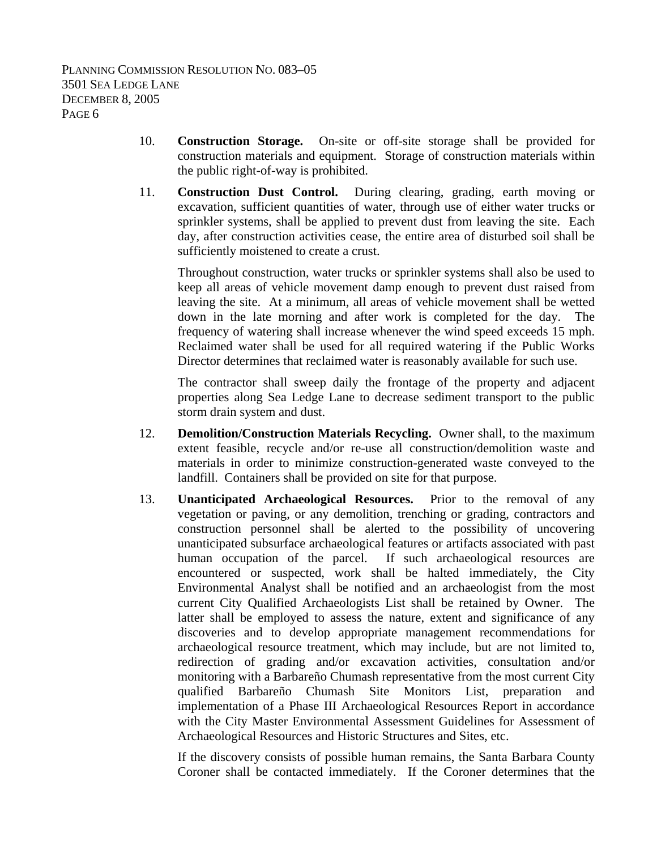- 10. **Construction Storage.** On-site or off-site storage shall be provided for construction materials and equipment. Storage of construction materials within the public right-of-way is prohibited.
- 11. **Construction Dust Control.** During clearing, grading, earth moving or excavation, sufficient quantities of water, through use of either water trucks or sprinkler systems, shall be applied to prevent dust from leaving the site. Each day, after construction activities cease, the entire area of disturbed soil shall be sufficiently moistened to create a crust.

Throughout construction, water trucks or sprinkler systems shall also be used to keep all areas of vehicle movement damp enough to prevent dust raised from leaving the site. At a minimum, all areas of vehicle movement shall be wetted down in the late morning and after work is completed for the day. The frequency of watering shall increase whenever the wind speed exceeds 15 mph. Reclaimed water shall be used for all required watering if the Public Works Director determines that reclaimed water is reasonably available for such use.

The contractor shall sweep daily the frontage of the property and adjacent properties along Sea Ledge Lane to decrease sediment transport to the public storm drain system and dust.

- 12. **Demolition/Construction Materials Recycling.** Owner shall, to the maximum extent feasible, recycle and/or re-use all construction/demolition waste and materials in order to minimize construction-generated waste conveyed to the landfill. Containers shall be provided on site for that purpose.
- 13. **Unanticipated Archaeological Resources.** Prior to the removal of any vegetation or paving, or any demolition, trenching or grading, contractors and construction personnel shall be alerted to the possibility of uncovering unanticipated subsurface archaeological features or artifacts associated with past human occupation of the parcel. If such archaeological resources are encountered or suspected, work shall be halted immediately, the City Environmental Analyst shall be notified and an archaeologist from the most current City Qualified Archaeologists List shall be retained by Owner. The latter shall be employed to assess the nature, extent and significance of any discoveries and to develop appropriate management recommendations for archaeological resource treatment, which may include, but are not limited to, redirection of grading and/or excavation activities, consultation and/or monitoring with a Barbareño Chumash representative from the most current City qualified Barbareño Chumash Site Monitors List, preparation and implementation of a Phase III Archaeological Resources Report in accordance with the City Master Environmental Assessment Guidelines for Assessment of Archaeological Resources and Historic Structures and Sites, etc.

If the discovery consists of possible human remains, the Santa Barbara County Coroner shall be contacted immediately. If the Coroner determines that the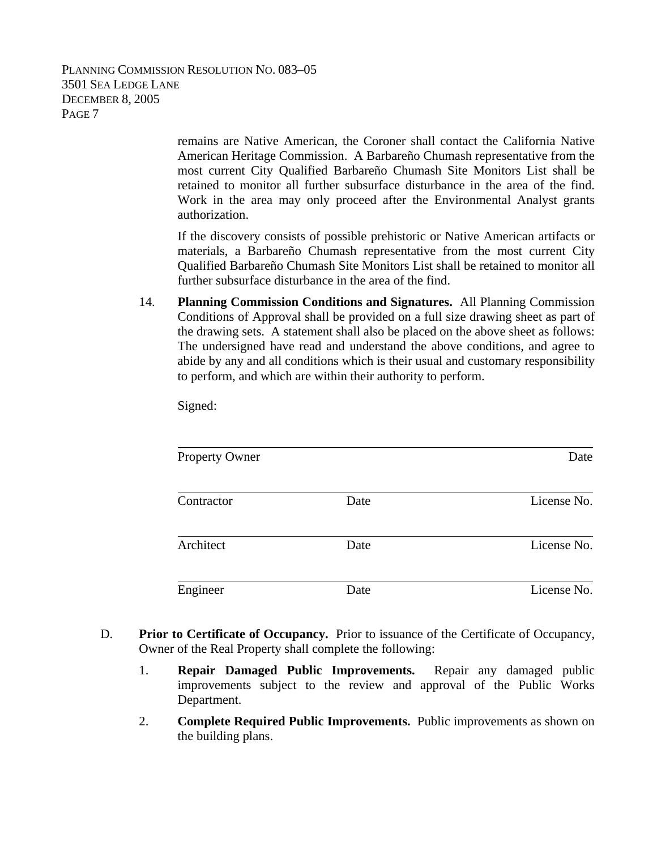> remains are Native American, the Coroner shall contact the California Native American Heritage Commission. A Barbareño Chumash representative from the most current City Qualified Barbareño Chumash Site Monitors List shall be retained to monitor all further subsurface disturbance in the area of the find. Work in the area may only proceed after the Environmental Analyst grants authorization.

> If the discovery consists of possible prehistoric or Native American artifacts or materials, a Barbareño Chumash representative from the most current City Qualified Barbareño Chumash Site Monitors List shall be retained to monitor all further subsurface disturbance in the area of the find.

14. **Planning Commission Conditions and Signatures.** All Planning Commission Conditions of Approval shall be provided on a full size drawing sheet as part of the drawing sets. A statement shall also be placed on the above sheet as follows: The undersigned have read and understand the above conditions, and agree to abide by any and all conditions which is their usual and customary responsibility to perform, and which are within their authority to perform.

Signed:

| <b>Property Owner</b> |      | Date        |
|-----------------------|------|-------------|
| Contractor            | Date | License No. |
| Architect             | Date | License No. |
| Engineer              | Date | License No. |

- D. **Prior to Certificate of Occupancy.** Prior to issuance of the Certificate of Occupancy, Owner of the Real Property shall complete the following:
	- 1. **Repair Damaged Public Improvements.** Repair any damaged public improvements subject to the review and approval of the Public Works Department.
	- 2. **Complete Required Public Improvements.** Public improvements as shown on the building plans.